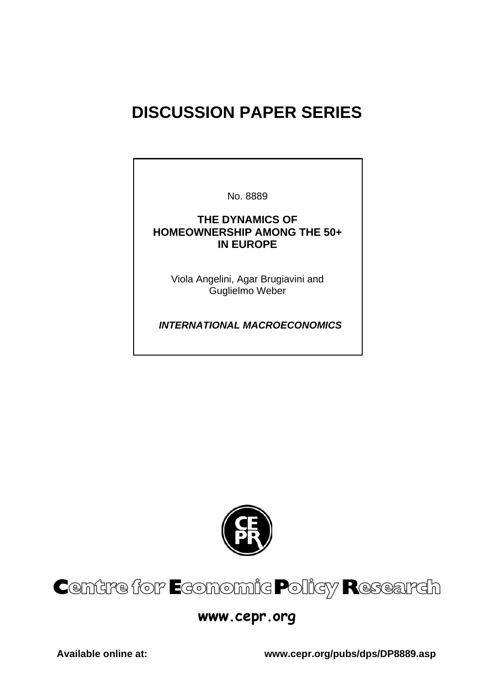# **DISCUSSION PAPER SERIES**

No. 8889

**THE DYNAMICS OF HOMEOWNERSHIP AMONG THE 50+ IN EUROPE** 

Viola Angelini, Agar Brugiavini and Guglielmo Weber

 *INTERNATIONAL MACROECONOMICS* 



# Centre for Economic Policy Research

### **www.cepr.org**

**Available online at: www.cepr.org/pubs/dps/DP8889.asp**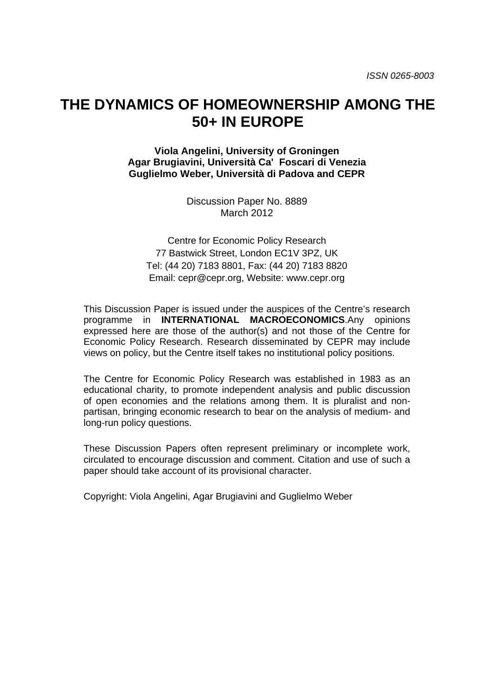## **THE DYNAMICS OF HOMEOWNERSHIP AMONG THE 50+ IN EUROPE**

**Viola Angelini, University of Groningen Agar Brugiavini, Università Ca' Foscari di Venezia Guglielmo Weber, Università di Padova and CEPR** 

> Discussion Paper No. 8889 March 2012

Centre for Economic Policy Research 77 Bastwick Street, London EC1V 3PZ, UK Tel: (44 20) 7183 8801, Fax: (44 20) 7183 8820 Email: cepr@cepr.org, Website: www.cepr.org

This Discussion Paper is issued under the auspices of the Centre's research programme in **INTERNATIONAL MACROECONOMICS**.Any opinions expressed here are those of the author(s) and not those of the Centre for Economic Policy Research. Research disseminated by CEPR may include views on policy, but the Centre itself takes no institutional policy positions.

The Centre for Economic Policy Research was established in 1983 as an educational charity, to promote independent analysis and public discussion of open economies and the relations among them. It is pluralist and nonpartisan, bringing economic research to bear on the analysis of medium- and long-run policy questions.

These Discussion Papers often represent preliminary or incomplete work, circulated to encourage discussion and comment. Citation and use of such a paper should take account of its provisional character.

Copyright: Viola Angelini, Agar Brugiavini and Guglielmo Weber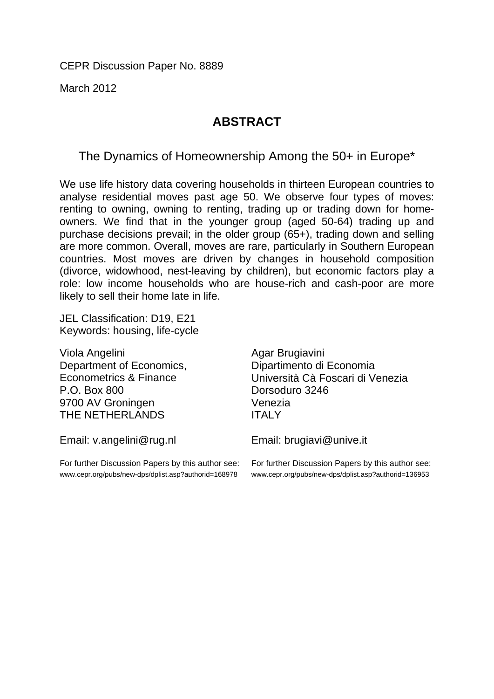CEPR Discussion Paper No. 8889

March 2012

### **ABSTRACT**

The Dynamics of Homeownership Among the 50+ in Europe\*

We use life history data covering households in thirteen European countries to analyse residential moves past age 50. We observe four types of moves: renting to owning, owning to renting, trading up or trading down for homeowners. We find that in the younger group (aged 50-64) trading up and purchase decisions prevail; in the older group (65+), trading down and selling are more common. Overall, moves are rare, particularly in Southern European countries. Most moves are driven by changes in household composition (divorce, widowhood, nest-leaving by children), but economic factors play a role: low income households who are house-rich and cash-poor are more likely to sell their home late in life.

JEL Classification: D19, E21 Keywords: housing, life-cycle

Viola Angelini Department of Economics, Econometrics & Finance P.O. Box 800 9700 AV Groningen THE NETHERLANDS

Email: v.angelini@rug.nl

For further Discussion Papers by this author see: www.cepr.org/pubs/new-dps/dplist.asp?authorid=168978

Agar Brugiavini Dipartimento di Economia Università Cà Foscari di Venezia Dorsoduro 3246 Venezia **ITALY** 

Email: brugiavi@unive.it

For further Discussion Papers by this author see: www.cepr.org/pubs/new-dps/dplist.asp?authorid=136953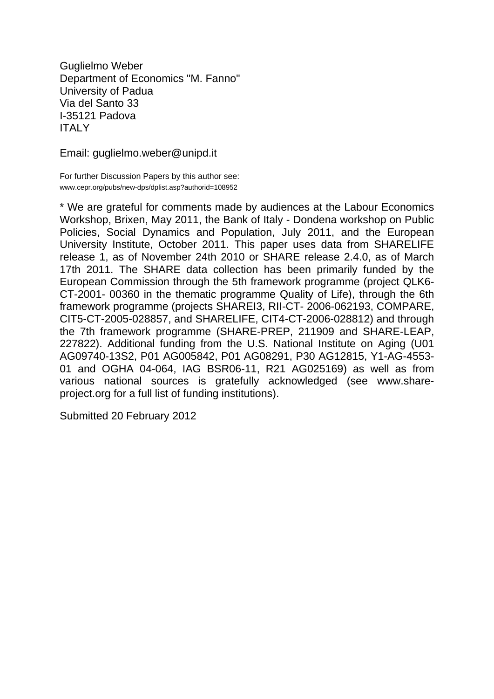Guglielmo Weber Department of Economics "M. Fanno" University of Padua Via del Santo 33 I-35121 Padova **ITALY** 

Email: guglielmo.weber@unipd.it

For further Discussion Papers by this author see: www.cepr.org/pubs/new-dps/dplist.asp?authorid=108952

\* We are grateful for comments made by audiences at the Labour Economics Workshop, Brixen, May 2011, the Bank of Italy - Dondena workshop on Public Policies, Social Dynamics and Population, July 2011, and the European University Institute, October 2011. This paper uses data from SHARELIFE release 1, as of November 24th 2010 or SHARE release 2.4.0, as of March 17th 2011. The SHARE data collection has been primarily funded by the European Commission through the 5th framework programme (project QLK6- CT-2001- 00360 in the thematic programme Quality of Life), through the 6th framework programme (projects SHAREI3, RII-CT- 2006-062193, COMPARE, CIT5-CT-2005-028857, and SHARELIFE, CIT4-CT-2006-028812) and through the 7th framework programme (SHARE-PREP, 211909 and SHARE-LEAP, 227822). Additional funding from the U.S. National Institute on Aging (U01 AG09740-13S2, P01 AG005842, P01 AG08291, P30 AG12815, Y1-AG-4553- 01 and OGHA 04-064, IAG BSR06-11, R21 AG025169) as well as from various national sources is gratefully acknowledged (see www.shareproject.org for a full list of funding institutions).

Submitted 20 February 2012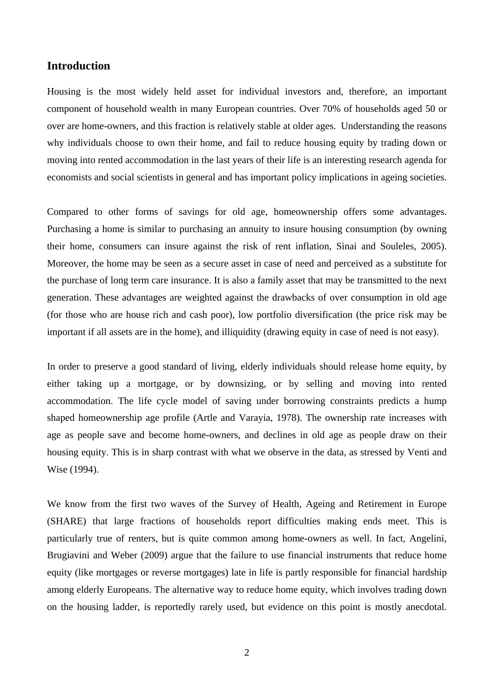#### **Introduction**

Housing is the most widely held asset for individual investors and, therefore, an important component of household wealth in many European countries. Over 70% of households aged 50 or over are home-owners, and this fraction is relatively stable at older ages. Understanding the reasons why individuals choose to own their home, and fail to reduce housing equity by trading down or moving into rented accommodation in the last years of their life is an interesting research agenda for economists and social scientists in general and has important policy implications in ageing societies.

Compared to other forms of savings for old age, homeownership offers some advantages. Purchasing a home is similar to purchasing an annuity to insure housing consumption (by owning their home, consumers can insure against the risk of rent inflation, Sinai and Souleles, 2005). Moreover, the home may be seen as a secure asset in case of need and perceived as a substitute for the purchase of long term care insurance. It is also a family asset that may be transmitted to the next generation. These advantages are weighted against the drawbacks of over consumption in old age (for those who are house rich and cash poor), low portfolio diversification (the price risk may be important if all assets are in the home), and illiquidity (drawing equity in case of need is not easy).

In order to preserve a good standard of living, elderly individuals should release home equity, by either taking up a mortgage, or by downsizing, or by selling and moving into rented accommodation. The life cycle model of saving under borrowing constraints predicts a hump shaped homeownership age profile (Artle and Varayia, 1978). The ownership rate increases with age as people save and become home-owners, and declines in old age as people draw on their housing equity. This is in sharp contrast with what we observe in the data, as stressed by Venti and Wise (1994).

We know from the first two waves of the Survey of Health, Ageing and Retirement in Europe (SHARE) that large fractions of households report difficulties making ends meet. This is particularly true of renters, but is quite common among home-owners as well. In fact, Angelini, Brugiavini and Weber (2009) argue that the failure to use financial instruments that reduce home equity (like mortgages or reverse mortgages) late in life is partly responsible for financial hardship among elderly Europeans. The alternative way to reduce home equity, which involves trading down on the housing ladder, is reportedly rarely used, but evidence on this point is mostly anecdotal.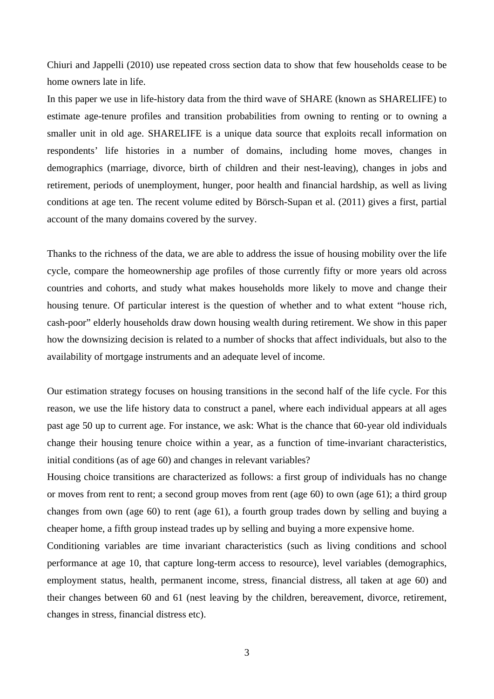Chiuri and Jappelli (2010) use repeated cross section data to show that few households cease to be home owners late in life.

In this paper we use in life-history data from the third wave of SHARE (known as SHARELIFE) to estimate age-tenure profiles and transition probabilities from owning to renting or to owning a smaller unit in old age. SHARELIFE is a unique data source that exploits recall information on respondents' life histories in a number of domains, including home moves, changes in demographics (marriage, divorce, birth of children and their nest-leaving), changes in jobs and retirement, periods of unemployment, hunger, poor health and financial hardship, as well as living conditions at age ten. The recent volume edited by Börsch-Supan et al. (2011) gives a first, partial account of the many domains covered by the survey.

Thanks to the richness of the data, we are able to address the issue of housing mobility over the life cycle, compare the homeownership age profiles of those currently fifty or more years old across countries and cohorts, and study what makes households more likely to move and change their housing tenure. Of particular interest is the question of whether and to what extent "house rich, cash-poor" elderly households draw down housing wealth during retirement. We show in this paper how the downsizing decision is related to a number of shocks that affect individuals, but also to the availability of mortgage instruments and an adequate level of income.

Our estimation strategy focuses on housing transitions in the second half of the life cycle. For this reason, we use the life history data to construct a panel, where each individual appears at all ages past age 50 up to current age. For instance, we ask: What is the chance that 60-year old individuals change their housing tenure choice within a year, as a function of time-invariant characteristics, initial conditions (as of age 60) and changes in relevant variables?

Housing choice transitions are characterized as follows: a first group of individuals has no change or moves from rent to rent; a second group moves from rent (age 60) to own (age 61); a third group changes from own (age 60) to rent (age 61), a fourth group trades down by selling and buying a cheaper home, a fifth group instead trades up by selling and buying a more expensive home.

Conditioning variables are time invariant characteristics (such as living conditions and school performance at age 10, that capture long-term access to resource), level variables (demographics, employment status, health, permanent income, stress, financial distress, all taken at age 60) and their changes between 60 and 61 (nest leaving by the children, bereavement, divorce, retirement, changes in stress, financial distress etc).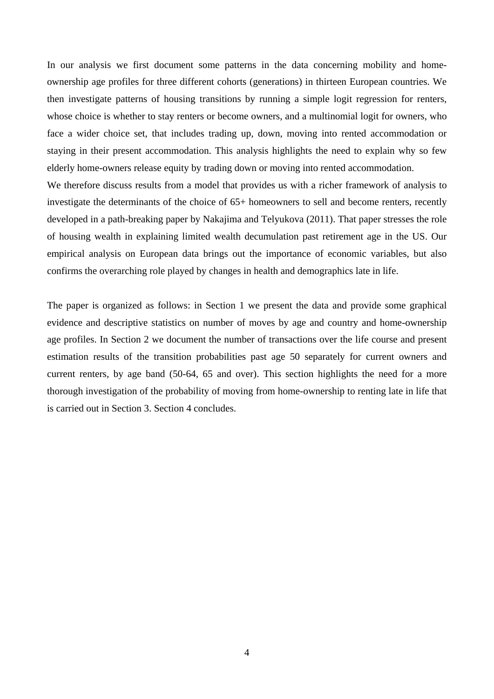In our analysis we first document some patterns in the data concerning mobility and homeownership age profiles for three different cohorts (generations) in thirteen European countries. We then investigate patterns of housing transitions by running a simple logit regression for renters, whose choice is whether to stay renters or become owners, and a multinomial logit for owners, who face a wider choice set, that includes trading up, down, moving into rented accommodation or staying in their present accommodation. This analysis highlights the need to explain why so few elderly home-owners release equity by trading down or moving into rented accommodation.

We therefore discuss results from a model that provides us with a richer framework of analysis to investigate the determinants of the choice of 65+ homeowners to sell and become renters, recently developed in a path-breaking paper by Nakajima and Telyukova (2011). That paper stresses the role of housing wealth in explaining limited wealth decumulation past retirement age in the US. Our empirical analysis on European data brings out the importance of economic variables, but also confirms the overarching role played by changes in health and demographics late in life.

The paper is organized as follows: in Section 1 we present the data and provide some graphical evidence and descriptive statistics on number of moves by age and country and home-ownership age profiles. In Section 2 we document the number of transactions over the life course and present estimation results of the transition probabilities past age 50 separately for current owners and current renters, by age band (50-64, 65 and over). This section highlights the need for a more thorough investigation of the probability of moving from home-ownership to renting late in life that is carried out in Section 3. Section 4 concludes.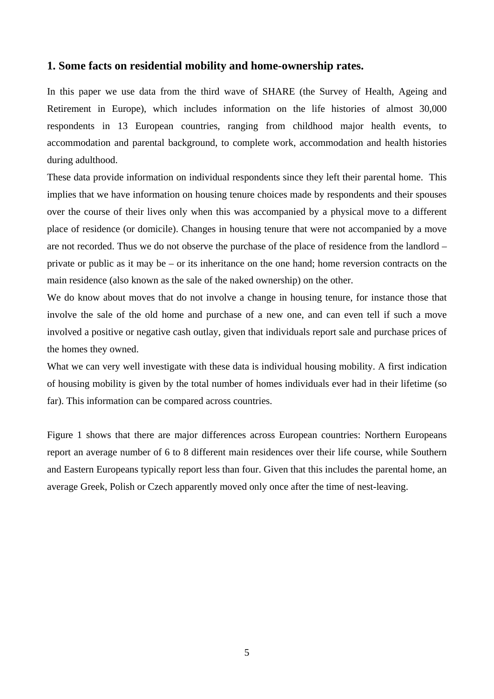#### **1. Some facts on residential mobility and home-ownership rates.**

In this paper we use data from the third wave of SHARE (the Survey of Health, Ageing and Retirement in Europe), which includes information on the life histories of almost 30,000 respondents in 13 European countries, ranging from childhood major health events, to accommodation and parental background, to complete work, accommodation and health histories during adulthood.

These data provide information on individual respondents since they left their parental home. This implies that we have information on housing tenure choices made by respondents and their spouses over the course of their lives only when this was accompanied by a physical move to a different place of residence (or domicile). Changes in housing tenure that were not accompanied by a move are not recorded. Thus we do not observe the purchase of the place of residence from the landlord – private or public as it may be – or its inheritance on the one hand; home reversion contracts on the main residence (also known as the sale of the naked ownership) on the other.

We do know about moves that do not involve a change in housing tenure, for instance those that involve the sale of the old home and purchase of a new one, and can even tell if such a move involved a positive or negative cash outlay, given that individuals report sale and purchase prices of the homes they owned.

What we can very well investigate with these data is individual housing mobility. A first indication of housing mobility is given by the total number of homes individuals ever had in their lifetime (so far). This information can be compared across countries.

Figure 1 shows that there are major differences across European countries: Northern Europeans report an average number of 6 to 8 different main residences over their life course, while Southern and Eastern Europeans typically report less than four. Given that this includes the parental home, an average Greek, Polish or Czech apparently moved only once after the time of nest-leaving.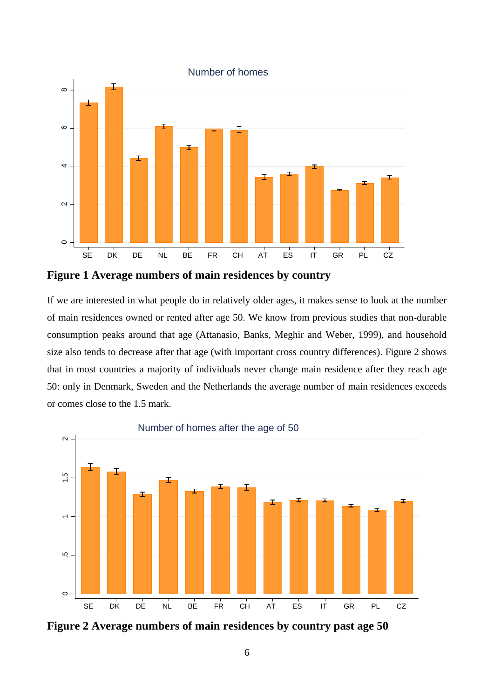

**Figure 1 Average numbers of main residences by country** 

If we are interested in what people do in relatively older ages, it makes sense to look at the number of main residences owned or rented after age 50. We know from previous studies that non-durable consumption peaks around that age (Attanasio, Banks, Meghir and Weber, 1999), and household size also tends to decrease after that age (with important cross country differences). Figure 2 shows that in most countries a majority of individuals never change main residence after they reach age 50: only in Denmark, Sweden and the Netherlands the average number of main residences exceeds or comes close to the 1.5 mark.



**Figure 2 Average numbers of main residences by country past age 50**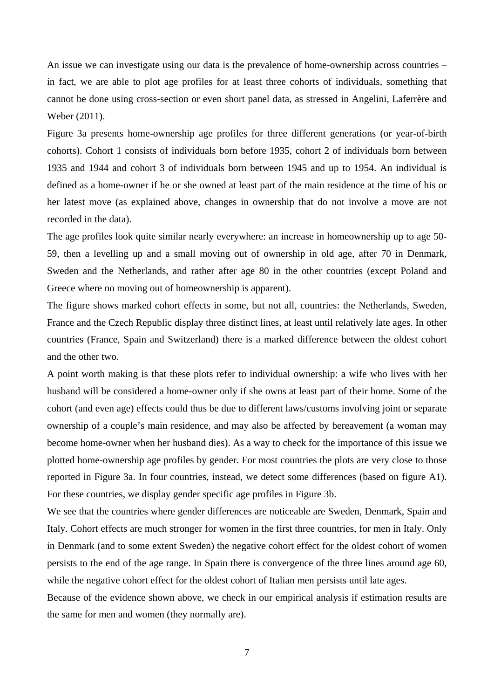An issue we can investigate using our data is the prevalence of home-ownership across countries – in fact, we are able to plot age profiles for at least three cohorts of individuals, something that cannot be done using cross-section or even short panel data, as stressed in Angelini, Laferrère and Weber (2011).

Figure 3a presents home-ownership age profiles for three different generations (or year-of-birth cohorts). Cohort 1 consists of individuals born before 1935, cohort 2 of individuals born between 1935 and 1944 and cohort 3 of individuals born between 1945 and up to 1954. An individual is defined as a home-owner if he or she owned at least part of the main residence at the time of his or her latest move (as explained above, changes in ownership that do not involve a move are not recorded in the data).

The age profiles look quite similar nearly everywhere: an increase in homeownership up to age 50- 59, then a levelling up and a small moving out of ownership in old age, after 70 in Denmark, Sweden and the Netherlands, and rather after age 80 in the other countries (except Poland and Greece where no moving out of homeownership is apparent).

The figure shows marked cohort effects in some, but not all, countries: the Netherlands, Sweden, France and the Czech Republic display three distinct lines, at least until relatively late ages. In other countries (France, Spain and Switzerland) there is a marked difference between the oldest cohort and the other two.

A point worth making is that these plots refer to individual ownership: a wife who lives with her husband will be considered a home-owner only if she owns at least part of their home. Some of the cohort (and even age) effects could thus be due to different laws/customs involving joint or separate ownership of a couple's main residence, and may also be affected by bereavement (a woman may become home-owner when her husband dies). As a way to check for the importance of this issue we plotted home-ownership age profiles by gender. For most countries the plots are very close to those reported in Figure 3a. In four countries, instead, we detect some differences (based on figure A1). For these countries, we display gender specific age profiles in Figure 3b.

We see that the countries where gender differences are noticeable are Sweden, Denmark, Spain and Italy. Cohort effects are much stronger for women in the first three countries, for men in Italy. Only in Denmark (and to some extent Sweden) the negative cohort effect for the oldest cohort of women persists to the end of the age range. In Spain there is convergence of the three lines around age 60, while the negative cohort effect for the oldest cohort of Italian men persists until late ages.

Because of the evidence shown above, we check in our empirical analysis if estimation results are the same for men and women (they normally are).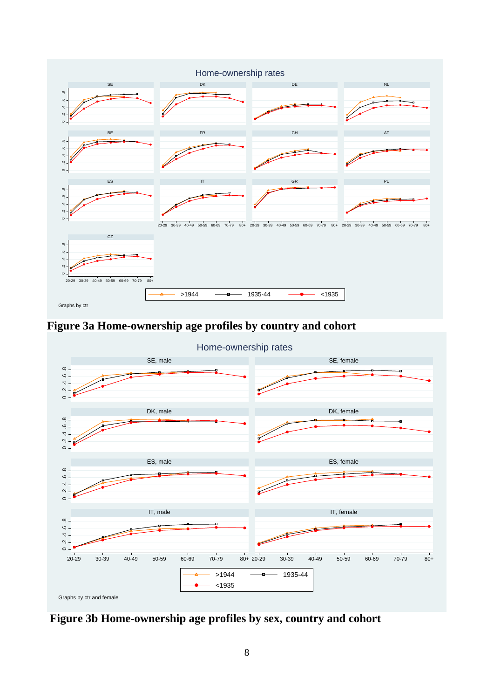

**Figure 3a Home-ownership age profiles by country and cohort** 



**Figure 3b Home-ownership age profiles by sex, country and cohort**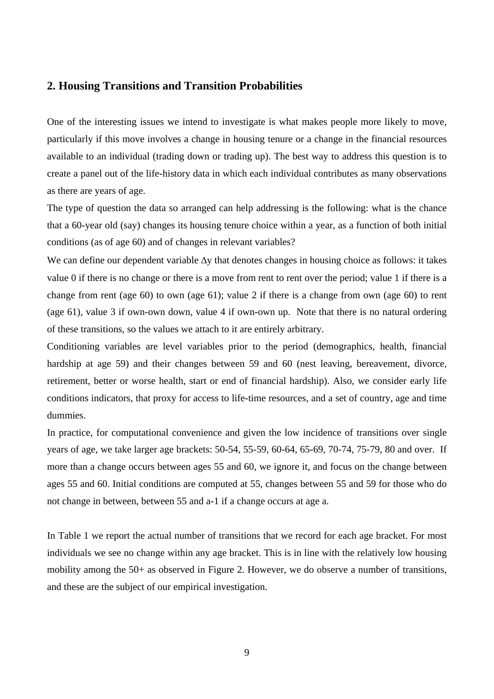#### **2. Housing Transitions and Transition Probabilities**

One of the interesting issues we intend to investigate is what makes people more likely to move, particularly if this move involves a change in housing tenure or a change in the financial resources available to an individual (trading down or trading up). The best way to address this question is to create a panel out of the life-history data in which each individual contributes as many observations as there are years of age.

The type of question the data so arranged can help addressing is the following: what is the chance that a 60-year old (say) changes its housing tenure choice within a year, as a function of both initial conditions (as of age 60) and of changes in relevant variables?

We can define our dependent variable  $\Delta y$  that denotes changes in housing choice as follows: it takes value 0 if there is no change or there is a move from rent to rent over the period; value 1 if there is a change from rent (age 60) to own (age 61); value 2 if there is a change from own (age 60) to rent (age 61), value 3 if own-own down, value 4 if own-own up. Note that there is no natural ordering of these transitions, so the values we attach to it are entirely arbitrary.

Conditioning variables are level variables prior to the period (demographics, health, financial hardship at age 59) and their changes between 59 and 60 (nest leaving, bereavement, divorce, retirement, better or worse health, start or end of financial hardship). Also, we consider early life conditions indicators, that proxy for access to life-time resources, and a set of country, age and time dummies.

In practice, for computational convenience and given the low incidence of transitions over single years of age, we take larger age brackets: 50-54, 55-59, 60-64, 65-69, 70-74, 75-79, 80 and over. If more than a change occurs between ages 55 and 60, we ignore it, and focus on the change between ages 55 and 60. Initial conditions are computed at 55, changes between 55 and 59 for those who do not change in between, between 55 and a-1 if a change occurs at age a.

In Table 1 we report the actual number of transitions that we record for each age bracket. For most individuals we see no change within any age bracket. This is in line with the relatively low housing mobility among the 50+ as observed in Figure 2. However, we do observe a number of transitions, and these are the subject of our empirical investigation.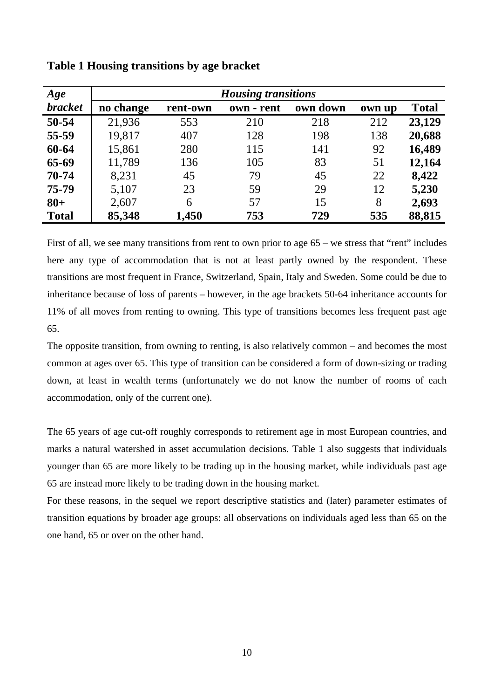| Age            | <b>Housing transitions</b> |          |            |          |        |              |
|----------------|----------------------------|----------|------------|----------|--------|--------------|
| <b>bracket</b> | no change                  | rent-own | own - rent | own down | own up | <b>Total</b> |
| 50-54          | 21,936                     | 553      | 210        | 218      | 212    | 23,129       |
| 55-59          | 19,817                     | 407      | 128        | 198      | 138    | 20,688       |
| 60-64          | 15,861                     | 280      | 115        | 141      | 92     | 16,489       |
| 65-69          | 11,789                     | 136      | 105        | 83       | 51     | 12,164       |
| 70-74          | 8,231                      | 45       | 79         | 45       | 22     | 8,422        |
| 75-79          | 5,107                      | 23       | 59         | 29       | 12     | 5,230        |
| $80 +$         | 2,607                      | 6        | 57         | 15       | 8      | 2,693        |
| <b>Total</b>   | 85,348                     | 1,450    | 753        | 729      | 535    | 88,815       |

**Table 1 Housing transitions by age bracket** 

First of all, we see many transitions from rent to own prior to age  $65$  – we stress that "rent" includes here any type of accommodation that is not at least partly owned by the respondent. These transitions are most frequent in France, Switzerland, Spain, Italy and Sweden. Some could be due to inheritance because of loss of parents – however, in the age brackets 50-64 inheritance accounts for 11% of all moves from renting to owning. This type of transitions becomes less frequent past age 65.

The opposite transition, from owning to renting, is also relatively common – and becomes the most common at ages over 65. This type of transition can be considered a form of down-sizing or trading down, at least in wealth terms (unfortunately we do not know the number of rooms of each accommodation, only of the current one).

The 65 years of age cut-off roughly corresponds to retirement age in most European countries, and marks a natural watershed in asset accumulation decisions. Table 1 also suggests that individuals younger than 65 are more likely to be trading up in the housing market, while individuals past age 65 are instead more likely to be trading down in the housing market.

For these reasons, in the sequel we report descriptive statistics and (later) parameter estimates of transition equations by broader age groups: all observations on individuals aged less than 65 on the one hand, 65 or over on the other hand.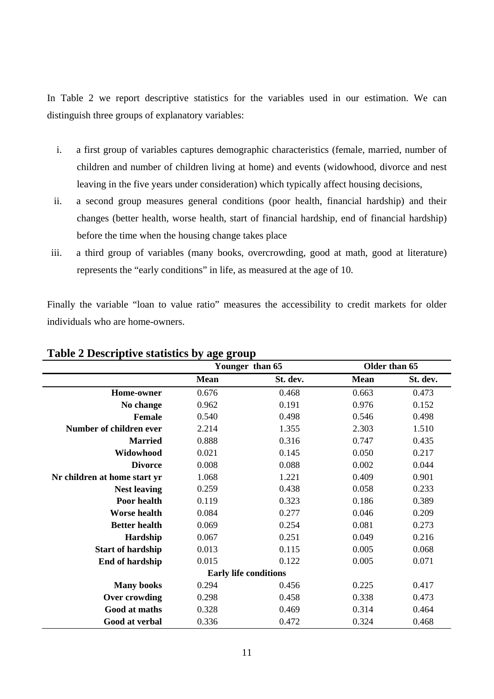In Table 2 we report descriptive statistics for the variables used in our estimation. We can distinguish three groups of explanatory variables:

- i. a first group of variables captures demographic characteristics (female, married, number of children and number of children living at home) and events (widowhood, divorce and nest leaving in the five years under consideration) which typically affect housing decisions,
- ii. a second group measures general conditions (poor health, financial hardship) and their changes (better health, worse health, start of financial hardship, end of financial hardship) before the time when the housing change takes place
- iii. a third group of variables (many books, overcrowding, good at math, good at literature) represents the "early conditions" in life, as measured at the age of 10.

Finally the variable "loan to value ratio" measures the accessibility to credit markets for older individuals who are home-owners.

|                              | Younger than 65 |          |             | Older than 65 |  |  |
|------------------------------|-----------------|----------|-------------|---------------|--|--|
|                              | <b>Mean</b>     | St. dev. | <b>Mean</b> | St. dev.      |  |  |
| Home-owner                   | 0.676           | 0.468    | 0.663       | 0.473         |  |  |
| No change                    | 0.962           | 0.191    | 0.976       | 0.152         |  |  |
| Female                       | 0.540           | 0.498    | 0.546       | 0.498         |  |  |
| Number of children ever      | 2.214           | 1.355    | 2.303       | 1.510         |  |  |
| <b>Married</b>               | 0.888           | 0.316    | 0.747       | 0.435         |  |  |
| Widowhood                    | 0.021           | 0.145    | 0.050       | 0.217         |  |  |
| <b>Divorce</b>               | 0.008           | 0.088    | 0.002       | 0.044         |  |  |
| Nr children at home start yr | 1.068           | 1.221    | 0.409       | 0.901         |  |  |
| <b>Nest leaving</b>          | 0.259           | 0.438    | 0.058       | 0.233         |  |  |
| Poor health                  | 0.119           | 0.323    | 0.186       | 0.389         |  |  |
| <b>Worse health</b>          | 0.084           | 0.277    | 0.046       | 0.209         |  |  |
| <b>Better health</b>         | 0.069           | 0.254    | 0.081       | 0.273         |  |  |
| Hardship                     | 0.067           | 0.251    | 0.049       | 0.216         |  |  |
| <b>Start of hardship</b>     | 0.013           | 0.115    | 0.005       | 0.068         |  |  |
| End of hardship              | 0.015           | 0.122    | 0.005       | 0.071         |  |  |
| <b>Early life conditions</b> |                 |          |             |               |  |  |
| <b>Many books</b>            | 0.294           | 0.456    | 0.225       | 0.417         |  |  |
| Over crowding                | 0.298           | 0.458    | 0.338       | 0.473         |  |  |
| Good at maths                | 0.328           | 0.469    | 0.314       | 0.464         |  |  |
| Good at verbal               | 0.336           | 0.472    | 0.324       | 0.468         |  |  |

#### **Table 2 Descriptive statistics by age group**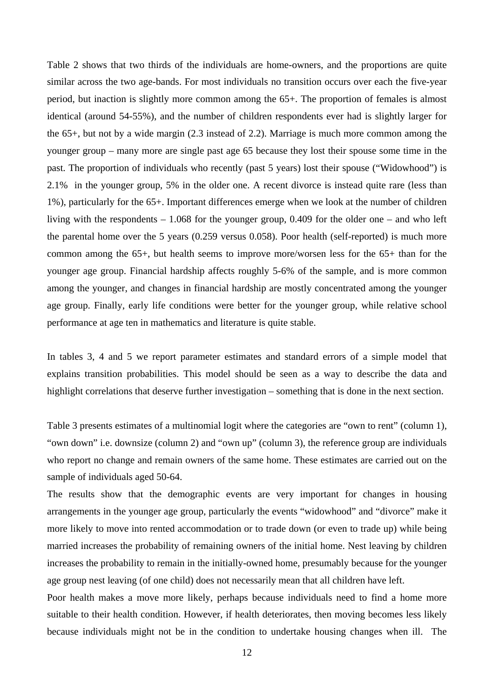Table 2 shows that two thirds of the individuals are home-owners, and the proportions are quite similar across the two age-bands. For most individuals no transition occurs over each the five-year period, but inaction is slightly more common among the 65+. The proportion of females is almost identical (around 54-55%), and the number of children respondents ever had is slightly larger for the 65+, but not by a wide margin (2.3 instead of 2.2). Marriage is much more common among the younger group – many more are single past age 65 because they lost their spouse some time in the past. The proportion of individuals who recently (past 5 years) lost their spouse ("Widowhood") is 2.1% in the younger group, 5% in the older one. A recent divorce is instead quite rare (less than 1%), particularly for the 65+. Important differences emerge when we look at the number of children living with the respondents – 1.068 for the younger group, 0.409 for the older one – and who left the parental home over the 5 years (0.259 versus 0.058). Poor health (self-reported) is much more common among the 65+, but health seems to improve more/worsen less for the 65+ than for the younger age group. Financial hardship affects roughly 5-6% of the sample, and is more common among the younger, and changes in financial hardship are mostly concentrated among the younger age group. Finally, early life conditions were better for the younger group, while relative school performance at age ten in mathematics and literature is quite stable.

In tables 3, 4 and 5 we report parameter estimates and standard errors of a simple model that explains transition probabilities. This model should be seen as a way to describe the data and highlight correlations that deserve further investigation – something that is done in the next section.

Table 3 presents estimates of a multinomial logit where the categories are "own to rent" (column 1), "own down" i.e. downsize (column 2) and "own up" (column 3), the reference group are individuals who report no change and remain owners of the same home. These estimates are carried out on the sample of individuals aged 50-64.

The results show that the demographic events are very important for changes in housing arrangements in the younger age group, particularly the events "widowhood" and "divorce" make it more likely to move into rented accommodation or to trade down (or even to trade up) while being married increases the probability of remaining owners of the initial home. Nest leaving by children increases the probability to remain in the initially-owned home, presumably because for the younger age group nest leaving (of one child) does not necessarily mean that all children have left.

Poor health makes a move more likely, perhaps because individuals need to find a home more suitable to their health condition. However, if health deteriorates, then moving becomes less likely because individuals might not be in the condition to undertake housing changes when ill. The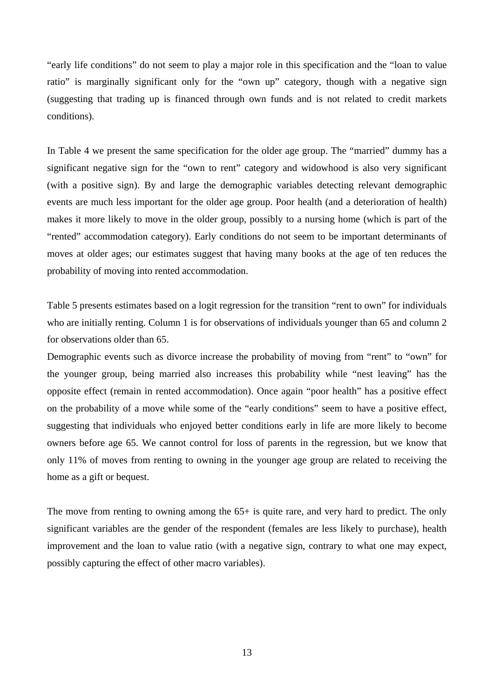"early life conditions" do not seem to play a major role in this specification and the "loan to value ratio" is marginally significant only for the "own up" category, though with a negative sign (suggesting that trading up is financed through own funds and is not related to credit markets conditions).

In Table 4 we present the same specification for the older age group. The "married" dummy has a significant negative sign for the "own to rent" category and widowhood is also very significant (with a positive sign). By and large the demographic variables detecting relevant demographic events are much less important for the older age group. Poor health (and a deterioration of health) makes it more likely to move in the older group, possibly to a nursing home (which is part of the "rented" accommodation category). Early conditions do not seem to be important determinants of moves at older ages; our estimates suggest that having many books at the age of ten reduces the probability of moving into rented accommodation.

Table 5 presents estimates based on a logit regression for the transition "rent to own" for individuals who are initially renting. Column 1 is for observations of individuals younger than 65 and column 2 for observations older than 65.

Demographic events such as divorce increase the probability of moving from "rent" to "own" for the younger group, being married also increases this probability while "nest leaving" has the opposite effect (remain in rented accommodation). Once again "poor health" has a positive effect on the probability of a move while some of the "early conditions" seem to have a positive effect, suggesting that individuals who enjoyed better conditions early in life are more likely to become owners before age 65. We cannot control for loss of parents in the regression, but we know that only 11% of moves from renting to owning in the younger age group are related to receiving the home as a gift or bequest.

The move from renting to owning among the  $65+$  is quite rare, and very hard to predict. The only significant variables are the gender of the respondent (females are less likely to purchase), health improvement and the loan to value ratio (with a negative sign, contrary to what one may expect, possibly capturing the effect of other macro variables).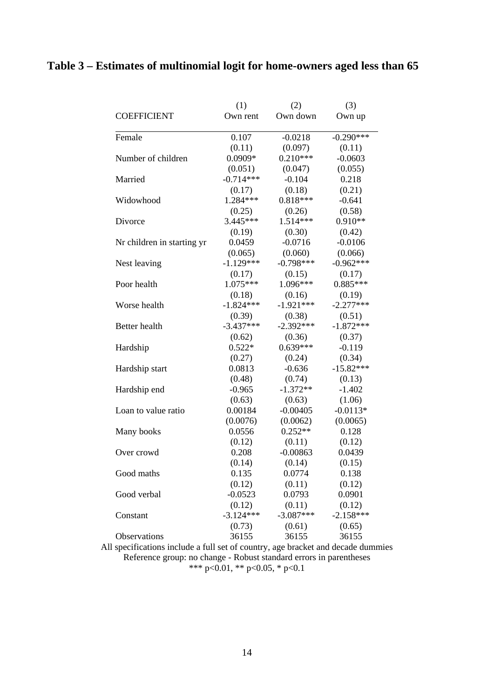## **Table 3 – Estimates of multinomial logit for home-owners aged less than 65**

|                                                                                  | (1)         | (2)         | (3)         |
|----------------------------------------------------------------------------------|-------------|-------------|-------------|
| <b>COEFFICIENT</b>                                                               | Own rent    | Own down    | Own up      |
| Female                                                                           | 0.107       | $-0.0218$   | $-0.290***$ |
|                                                                                  | (0.11)      | (0.097)     | (0.11)      |
| Number of children                                                               | $0.0909*$   | $0.210***$  | $-0.0603$   |
|                                                                                  | (0.051)     | (0.047)     | (0.055)     |
| Married                                                                          | $-0.714***$ | $-0.104$    | 0.218       |
|                                                                                  | (0.17)      | (0.18)      | (0.21)      |
| Widowhood                                                                        | $1.284***$  | $0.818***$  | $-0.641$    |
|                                                                                  | (0.25)      | (0.26)      | (0.58)      |
| Divorce                                                                          | $3.445***$  | $1.514***$  | $0.910**$   |
|                                                                                  | (0.19)      | (0.30)      | (0.42)      |
| Nr children in starting yr                                                       | 0.0459      | $-0.0716$   | $-0.0106$   |
|                                                                                  | (0.065)     | (0.060)     | (0.066)     |
| Nest leaving                                                                     | $-1.129***$ | $-0.798***$ | $-0.962***$ |
|                                                                                  | (0.17)      | (0.15)      | (0.17)      |
| Poor health                                                                      | $1.075***$  | $1.096***$  | $0.885***$  |
|                                                                                  | (0.18)      | (0.16)      | (0.19)      |
| Worse health                                                                     | $-1.824***$ | $-1.921***$ | $-2.277***$ |
|                                                                                  | (0.39)      | (0.38)      | (0.51)      |
| Better health                                                                    | $-3.437***$ | $-2.392***$ | $-1.872***$ |
|                                                                                  | (0.62)      | (0.36)      | (0.37)      |
| Hardship                                                                         | $0.522*$    | $0.639***$  | $-0.119$    |
|                                                                                  | (0.27)      | (0.24)      | (0.34)      |
| Hardship start                                                                   | 0.0813      | $-0.636$    | $-15.82***$ |
|                                                                                  | (0.48)      | (0.74)      | (0.13)      |
| Hardship end                                                                     | $-0.965$    | $-1.372**$  | $-1.402$    |
|                                                                                  | (0.63)      | (0.63)      | (1.06)      |
| Loan to value ratio                                                              | 0.00184     | $-0.00405$  | $-0.0113*$  |
|                                                                                  | (0.0076)    | (0.0062)    | (0.0065)    |
| Many books                                                                       | 0.0556      | $0.252**$   | 0.128       |
|                                                                                  | (0.12)      | (0.11)      | (0.12)      |
| Over crowd                                                                       | 0.208       | $-0.00863$  | 0.0439      |
|                                                                                  | (0.14)      | (0.14)      | (0.15)      |
| Good maths                                                                       | 0.135       | 0.0774      | 0.138       |
|                                                                                  | (0.12)      | (0.11)      | (0.12)      |
| Good verbal                                                                      | $-0.0523$   | 0.0793      | 0.0901      |
|                                                                                  | (0.12)      | (0.11)      | (0.12)      |
| Constant                                                                         | $-3.124***$ | $-3.087***$ | $-2.158***$ |
|                                                                                  | (0.73)      | (0.61)      | (0.65)      |
| <b>Observations</b>                                                              | 36155       | 36155       | 36155       |
| All specifications include a full set of country, age bracket and decade dummies |             |             |             |

Reference group: no change - Robust standard errors in parentheses \*\*\* p<0.01, \*\* p<0.05, \* p<0.1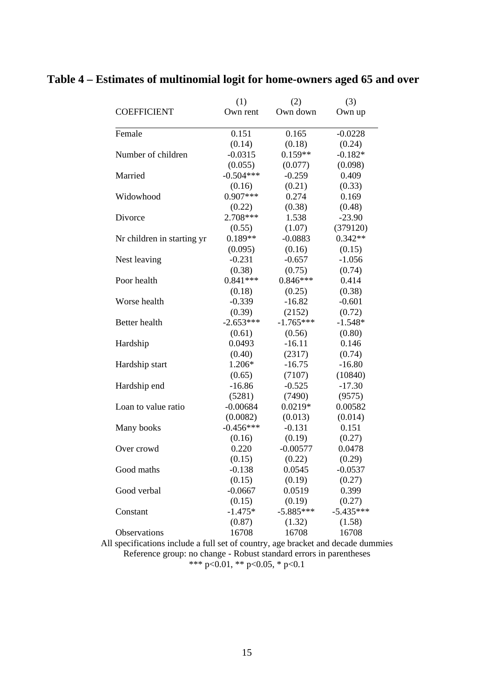|                                                                                  | (1)         | (2)         | (3)         |
|----------------------------------------------------------------------------------|-------------|-------------|-------------|
| <b>COEFFICIENT</b>                                                               | Own rent    | Own down    | Own up      |
| Female                                                                           | 0.151       | 0.165       | $-0.0228$   |
|                                                                                  | (0.14)      | (0.18)      | (0.24)      |
| Number of children                                                               | $-0.0315$   | $0.159**$   | $-0.182*$   |
|                                                                                  | (0.055)     | (0.077)     | (0.098)     |
| Married                                                                          | $-0.504***$ | $-0.259$    | 0.409       |
|                                                                                  | (0.16)      | (0.21)      | (0.33)      |
| Widowhood                                                                        | $0.907***$  | 0.274       | 0.169       |
|                                                                                  | (0.22)      | (0.38)      | (0.48)      |
| Divorce                                                                          | 2.708***    | 1.538       | $-23.90$    |
|                                                                                  | (0.55)      | (1.07)      | (379120)    |
| Nr children in starting yr                                                       | $0.189**$   | $-0.0883$   | $0.342**$   |
|                                                                                  | (0.095)     | (0.16)      | (0.15)      |
| Nest leaving                                                                     | $-0.231$    | $-0.657$    | $-1.056$    |
|                                                                                  | (0.38)      | (0.75)      | (0.74)      |
| Poor health                                                                      | $0.841***$  | $0.846***$  | 0.414       |
|                                                                                  | (0.18)      | (0.25)      | (0.38)      |
| Worse health                                                                     | $-0.339$    | $-16.82$    | $-0.601$    |
|                                                                                  | (0.39)      | (2152)      | (0.72)      |
| Better health                                                                    | $-2.653***$ | $-1.765***$ | $-1.548*$   |
|                                                                                  | (0.61)      | (0.56)      | (0.80)      |
| Hardship                                                                         | 0.0493      | $-16.11$    | 0.146       |
|                                                                                  | (0.40)      | (2317)      | (0.74)      |
| Hardship start                                                                   | 1.206*      | $-16.75$    | $-16.80$    |
|                                                                                  | (0.65)      | (7107)      | (10840)     |
| Hardship end                                                                     | $-16.86$    | $-0.525$    | $-17.30$    |
|                                                                                  | (5281)      | (7490)      | (9575)      |
| Loan to value ratio                                                              | $-0.00684$  | $0.0219*$   | 0.00582     |
|                                                                                  | (0.0082)    | (0.013)     | (0.014)     |
| Many books                                                                       | $-0.456***$ | $-0.131$    | 0.151       |
|                                                                                  | (0.16)      | (0.19)      | (0.27)      |
| Over crowd                                                                       | 0.220       | $-0.00577$  | 0.0478      |
|                                                                                  | (0.15)      | (0.22)      | (0.29)      |
| Good maths                                                                       | $-0.138$    | 0.0545      | $-0.0537$   |
|                                                                                  | (0.15)      | (0.19)      | (0.27)      |
| Good verbal                                                                      | $-0.0667$   | 0.0519      | 0.399       |
|                                                                                  | (0.15)      | (0.19)      | (0.27)      |
| Constant                                                                         | $-1.475*$   | $-5.885***$ | $-5.435***$ |
|                                                                                  | (0.87)      | (1.32)      | (1.58)      |
| Observations                                                                     | 16708       | 16708       | 16708       |
| All specifications include a full set of country, age bracket and decade dummies |             |             |             |

## **Table 4 – Estimates of multinomial logit for home-owners aged 65 and over**

\*\*\* p<0.01, \*\* p<0.05, \* p<0.1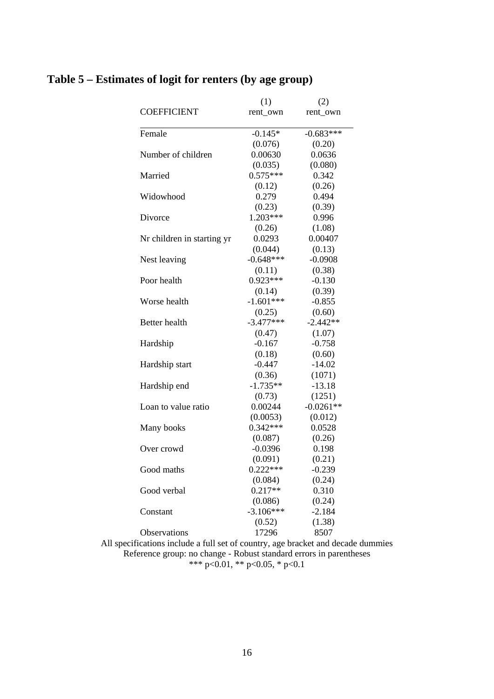|                            | (1)         | (2)         |
|----------------------------|-------------|-------------|
| <b>COEFFICIENT</b>         | rent_own    | rent_own    |
| Female                     | $-0.145*$   | $-0.683***$ |
|                            | (0.076)     | (0.20)      |
| Number of children         | 0.00630     | 0.0636      |
|                            | (0.035)     | (0.080)     |
| Married                    | $0.575***$  | 0.342       |
|                            | (0.12)      | (0.26)      |
| Widowhood                  | 0.279       | 0.494       |
|                            | (0.23)      | (0.39)      |
| Divorce                    | 1.203***    | 0.996       |
|                            | (0.26)      | (1.08)      |
| Nr children in starting yr | 0.0293      | 0.00407     |
|                            | (0.044)     | (0.13)      |
| Nest leaving               | $-0.648***$ | $-0.0908$   |
|                            | (0.11)      | (0.38)      |
| Poor health                | $0.923***$  | $-0.130$    |
|                            | (0.14)      | (0.39)      |
| Worse health               | $-1.601***$ | $-0.855$    |
|                            | (0.25)      | (0.60)      |
| Better health              | $-3.477***$ | $-2.442**$  |
|                            | (0.47)      | (1.07)      |
| Hardship                   | $-0.167$    | $-0.758$    |
|                            | (0.18)      | (0.60)      |
| Hardship start             | $-0.447$    | $-14.02$    |
|                            | (0.36)      | (1071)      |
| Hardship end               | $-1.735**$  | $-13.18$    |
|                            | (0.73)      | (1251)      |
| Loan to value ratio        | 0.00244     | $-0.0261**$ |
|                            | (0.0053)    | (0.012)     |
| Many books                 | $0.342***$  | 0.0528      |
|                            | (0.087)     | (0.26)      |
| Over crowd                 | $-0.0396$   | 0.198       |
|                            | (0.091)     | (0.21)      |
| Good maths                 | $0.222***$  | $-0.239$    |
|                            | (0.084)     | (0.24)      |
| Good verbal                | $0.217**$   | 0.310       |
|                            | (0.086)     | (0.24)      |
| Constant                   | $-3.106***$ | $-2.184$    |
|                            | (0.52)      | (1.38)      |
| Observations               | 17296       | 8507        |

### **Table 5 – Estimates of logit for renters (by age group)**

All specifications include a full set of country, age bracket and decade dummies Reference group: no change - Robust standard errors in parentheses \*\*\* p<0.01, \*\* p<0.05, \* p<0.1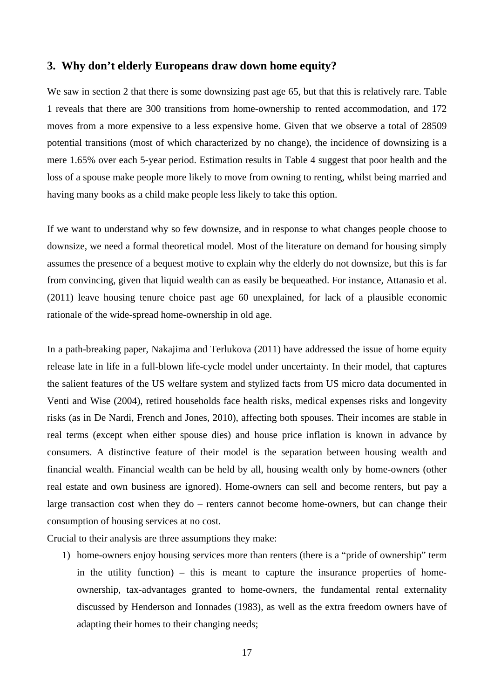#### **3. Why don't elderly Europeans draw down home equity?**

We saw in section 2 that there is some downsizing past age 65, but that this is relatively rare. Table 1 reveals that there are 300 transitions from home-ownership to rented accommodation, and 172 moves from a more expensive to a less expensive home. Given that we observe a total of 28509 potential transitions (most of which characterized by no change), the incidence of downsizing is a mere 1.65% over each 5-year period. Estimation results in Table 4 suggest that poor health and the loss of a spouse make people more likely to move from owning to renting, whilst being married and having many books as a child make people less likely to take this option.

If we want to understand why so few downsize, and in response to what changes people choose to downsize, we need a formal theoretical model. Most of the literature on demand for housing simply assumes the presence of a bequest motive to explain why the elderly do not downsize, but this is far from convincing, given that liquid wealth can as easily be bequeathed. For instance, Attanasio et al. (2011) leave housing tenure choice past age 60 unexplained, for lack of a plausible economic rationale of the wide-spread home-ownership in old age.

In a path-breaking paper, Nakajima and Terlukova (2011) have addressed the issue of home equity release late in life in a full-blown life-cycle model under uncertainty. In their model, that captures the salient features of the US welfare system and stylized facts from US micro data documented in Venti and Wise (2004), retired households face health risks, medical expenses risks and longevity risks (as in De Nardi, French and Jones, 2010), affecting both spouses. Their incomes are stable in real terms (except when either spouse dies) and house price inflation is known in advance by consumers. A distinctive feature of their model is the separation between housing wealth and financial wealth. Financial wealth can be held by all, housing wealth only by home-owners (other real estate and own business are ignored). Home-owners can sell and become renters, but pay a large transaction cost when they do – renters cannot become home-owners, but can change their consumption of housing services at no cost.

Crucial to their analysis are three assumptions they make:

1) home-owners enjoy housing services more than renters (there is a "pride of ownership" term in the utility function) – this is meant to capture the insurance properties of homeownership, tax-advantages granted to home-owners, the fundamental rental externality discussed by Henderson and Ionnades (1983), as well as the extra freedom owners have of adapting their homes to their changing needs;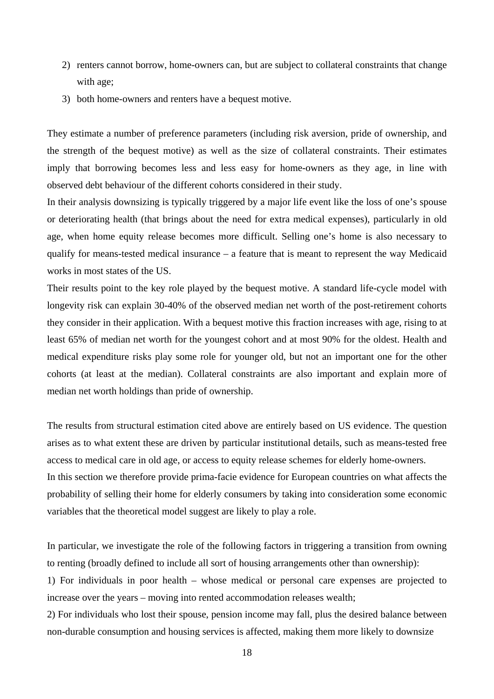- 2) renters cannot borrow, home-owners can, but are subject to collateral constraints that change with age;
- 3) both home-owners and renters have a bequest motive.

They estimate a number of preference parameters (including risk aversion, pride of ownership, and the strength of the bequest motive) as well as the size of collateral constraints. Their estimates imply that borrowing becomes less and less easy for home-owners as they age, in line with observed debt behaviour of the different cohorts considered in their study.

In their analysis downsizing is typically triggered by a major life event like the loss of one's spouse or deteriorating health (that brings about the need for extra medical expenses), particularly in old age, when home equity release becomes more difficult. Selling one's home is also necessary to qualify for means-tested medical insurance – a feature that is meant to represent the way Medicaid works in most states of the US.

Their results point to the key role played by the bequest motive. A standard life-cycle model with longevity risk can explain 30-40% of the observed median net worth of the post-retirement cohorts they consider in their application. With a bequest motive this fraction increases with age, rising to at least 65% of median net worth for the youngest cohort and at most 90% for the oldest. Health and medical expenditure risks play some role for younger old, but not an important one for the other cohorts (at least at the median). Collateral constraints are also important and explain more of median net worth holdings than pride of ownership.

The results from structural estimation cited above are entirely based on US evidence. The question arises as to what extent these are driven by particular institutional details, such as means-tested free access to medical care in old age, or access to equity release schemes for elderly home-owners. In this section we therefore provide prima-facie evidence for European countries on what affects the probability of selling their home for elderly consumers by taking into consideration some economic variables that the theoretical model suggest are likely to play a role.

In particular, we investigate the role of the following factors in triggering a transition from owning to renting (broadly defined to include all sort of housing arrangements other than ownership):

1) For individuals in poor health – whose medical or personal care expenses are projected to increase over the years – moving into rented accommodation releases wealth;

2) For individuals who lost their spouse, pension income may fall, plus the desired balance between non-durable consumption and housing services is affected, making them more likely to downsize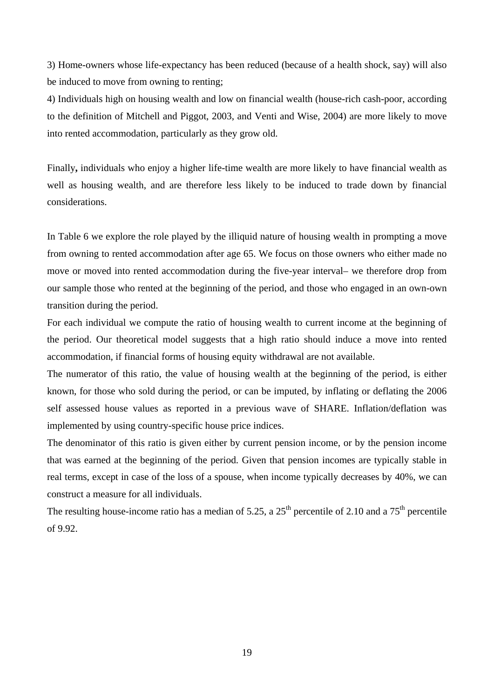3) Home-owners whose life-expectancy has been reduced (because of a health shock, say) will also be induced to move from owning to renting;

4) Individuals high on housing wealth and low on financial wealth (house-rich cash-poor, according to the definition of Mitchell and Piggot, 2003, and Venti and Wise, 2004) are more likely to move into rented accommodation, particularly as they grow old.

Finally**,** individuals who enjoy a higher life-time wealth are more likely to have financial wealth as well as housing wealth, and are therefore less likely to be induced to trade down by financial considerations.

In Table 6 we explore the role played by the illiquid nature of housing wealth in prompting a move from owning to rented accommodation after age 65. We focus on those owners who either made no move or moved into rented accommodation during the five-year interval– we therefore drop from our sample those who rented at the beginning of the period, and those who engaged in an own-own transition during the period.

For each individual we compute the ratio of housing wealth to current income at the beginning of the period. Our theoretical model suggests that a high ratio should induce a move into rented accommodation, if financial forms of housing equity withdrawal are not available.

The numerator of this ratio, the value of housing wealth at the beginning of the period, is either known, for those who sold during the period, or can be imputed, by inflating or deflating the 2006 self assessed house values as reported in a previous wave of SHARE. Inflation/deflation was implemented by using country-specific house price indices.

The denominator of this ratio is given either by current pension income, or by the pension income that was earned at the beginning of the period. Given that pension incomes are typically stable in real terms, except in case of the loss of a spouse, when income typically decreases by 40%, we can construct a measure for all individuals.

The resulting house-income ratio has a median of 5.25, a  $25<sup>th</sup>$  percentile of 2.10 and a  $75<sup>th</sup>$  percentile of 9.92.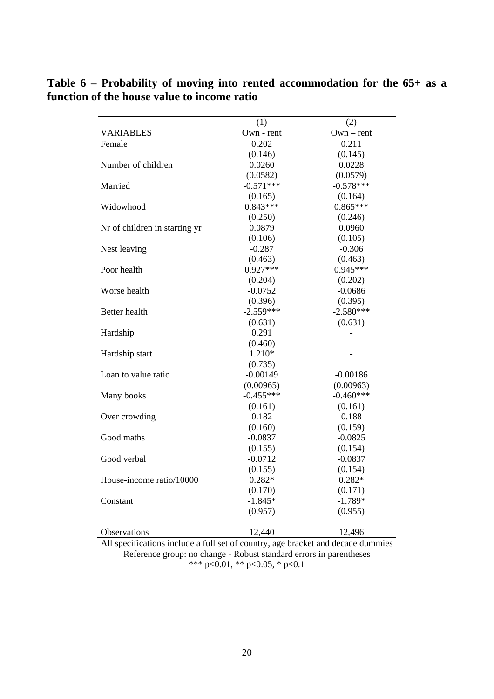|                                                                                  | (1)         | (2)          |
|----------------------------------------------------------------------------------|-------------|--------------|
| <b>VARIABLES</b>                                                                 | Own - rent  | $Own - rent$ |
| Female                                                                           | 0.202       | 0.211        |
|                                                                                  | (0.146)     | (0.145)      |
| Number of children                                                               | 0.0260      | 0.0228       |
|                                                                                  | (0.0582)    | (0.0579)     |
| Married                                                                          | $-0.571***$ | $-0.578***$  |
|                                                                                  | (0.165)     | (0.164)      |
| Widowhood                                                                        | $0.843***$  | $0.865***$   |
|                                                                                  | (0.250)     | (0.246)      |
| Nr of children in starting yr                                                    | 0.0879      | 0.0960       |
|                                                                                  | (0.106)     | (0.105)      |
| Nest leaving                                                                     | $-0.287$    | $-0.306$     |
|                                                                                  | (0.463)     | (0.463)      |
| Poor health                                                                      | $0.927***$  | $0.945***$   |
|                                                                                  | (0.204)     | (0.202)      |
| Worse health                                                                     | $-0.0752$   | $-0.0686$    |
|                                                                                  | (0.396)     | (0.395)      |
| Better health                                                                    | $-2.559***$ | $-2.580***$  |
|                                                                                  | (0.631)     | (0.631)      |
| Hardship                                                                         | 0.291       |              |
|                                                                                  | (0.460)     |              |
| Hardship start                                                                   | $1.210*$    |              |
|                                                                                  | (0.735)     |              |
| Loan to value ratio                                                              | $-0.00149$  | $-0.00186$   |
|                                                                                  | (0.00965)   | (0.00963)    |
| Many books                                                                       | $-0.455***$ | $-0.460***$  |
|                                                                                  | (0.161)     | (0.161)      |
| Over crowding                                                                    | 0.182       | 0.188        |
|                                                                                  | (0.160)     | (0.159)      |
| Good maths                                                                       | $-0.0837$   | $-0.0825$    |
|                                                                                  | (0.155)     | (0.154)      |
| Good verbal                                                                      | $-0.0712$   | $-0.0837$    |
|                                                                                  | (0.155)     | (0.154)      |
| House-income ratio/10000                                                         | $0.282*$    | $0.282*$     |
|                                                                                  | (0.170)     | (0.171)      |
| Constant                                                                         | $-1.845*$   | $-1.789*$    |
|                                                                                  | (0.957)     | (0.955)      |
| Observations                                                                     | 12,440      | 12,496       |
| All specifications include a full set of country, age bracket and decade dummies |             |              |

**Table 6 – Probability of moving into rented accommodation for the 65+ as a function of the house value to income ratio** 

Reference group: no change - Robust standard errors in parentheses \*\*\* p<0.01, \*\* p<0.05, \* p<0.1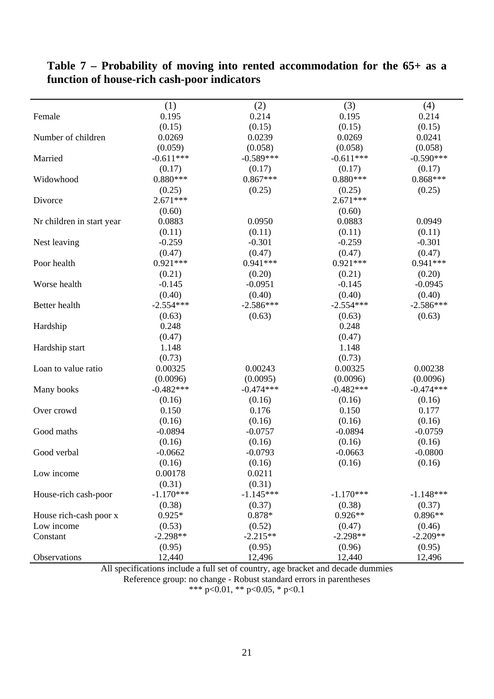|                           | (1)         | (2)         | (3)         | (4)         |
|---------------------------|-------------|-------------|-------------|-------------|
| Female                    | 0.195       | 0.214       | 0.195       | 0.214       |
|                           | (0.15)      | (0.15)      | (0.15)      | (0.15)      |
| Number of children        | 0.0269      | 0.0239      | 0.0269      | 0.0241      |
|                           | (0.059)     | (0.058)     | (0.058)     | (0.058)     |
| Married                   | $-0.611***$ | $-0.589***$ | $-0.611***$ | $-0.590***$ |
|                           | (0.17)      | (0.17)      | (0.17)      | (0.17)      |
| Widowhood                 | $0.880***$  | $0.867***$  | $0.880***$  | $0.868***$  |
|                           | (0.25)      | (0.25)      | (0.25)      | (0.25)      |
| Divorce                   | $2.671***$  |             | $2.671***$  |             |
|                           | (0.60)      |             | (0.60)      |             |
| Nr children in start year | 0.0883      | 0.0950      | 0.0883      | 0.0949      |
|                           | (0.11)      | (0.11)      | (0.11)      | (0.11)      |
| Nest leaving              | $-0.259$    | $-0.301$    | $-0.259$    | $-0.301$    |
|                           | (0.47)      | (0.47)      | (0.47)      | (0.47)      |
| Poor health               | $0.921***$  | $0.941***$  | $0.921***$  | $0.941***$  |
|                           | (0.21)      | (0.20)      | (0.21)      | (0.20)      |
| Worse health              | $-0.145$    | $-0.0951$   | $-0.145$    | $-0.0945$   |
|                           | (0.40)      | (0.40)      | (0.40)      | (0.40)      |
| Better health             | $-2.554***$ | $-2.586***$ | $-2.554***$ | $-2.586***$ |
|                           | (0.63)      | (0.63)      | (0.63)      | (0.63)      |
| Hardship                  | 0.248       |             | 0.248       |             |
|                           | (0.47)      |             | (0.47)      |             |
| Hardship start            | 1.148       |             | 1.148       |             |
|                           | (0.73)      |             | (0.73)      |             |
| Loan to value ratio       | 0.00325     | 0.00243     | 0.00325     | 0.00238     |
|                           | (0.0096)    | (0.0095)    | (0.0096)    | (0.0096)    |
| Many books                | $-0.482***$ | $-0.474***$ | $-0.482***$ | $-0.474***$ |
|                           | (0.16)      | (0.16)      | (0.16)      | (0.16)      |
| Over crowd                | 0.150       | 0.176       | 0.150       | 0.177       |
|                           | (0.16)      | (0.16)      | (0.16)      | (0.16)      |
| Good maths                | $-0.0894$   | $-0.0757$   | $-0.0894$   | $-0.0759$   |
|                           | (0.16)      | (0.16)      | (0.16)      | (0.16)      |
| Good verbal               | $-0.0662$   | $-0.0793$   | $-0.0663$   | $-0.0800$   |
|                           | (0.16)      | (0.16)      | (0.16)      | (0.16)      |
| Low income                | 0.00178     | 0.0211      |             |             |
|                           | (0.31)      | (0.31)      |             |             |
| House-rich cash-poor      | $-1.170***$ | $-1.145***$ | $-1.170***$ | $-1.148***$ |
|                           | (0.38)      | (0.37)      | (0.38)      | (0.37)      |
| House rich-cash poor x    | $0.925*$    | 0.878*      | $0.926**$   | $0.896**$   |
| Low income                | (0.53)      | (0.52)      | (0.47)      | (0.46)      |
| Constant                  | $-2.298**$  | $-2.215**$  | $-2.298**$  | $-2.209**$  |
|                           | (0.95)      | (0.95)      | (0.96)      | (0.95)      |
| Observations              | 12,440      | 12,496      | 12,440      | 12,496      |

### **Table 7 – Probability of moving into rented accommodation for the 65+ as a function of house-rich cash-poor indicators**

All specifications include a full set of country, age bracket and decade dummies Reference group: no change - Robust standard errors in parentheses

\*\*\* p<0.01, \*\* p<0.05, \* p<0.1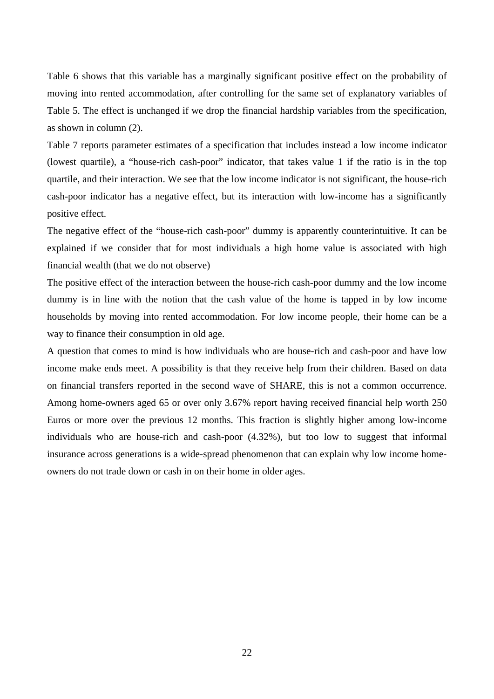Table 6 shows that this variable has a marginally significant positive effect on the probability of moving into rented accommodation, after controlling for the same set of explanatory variables of Table 5. The effect is unchanged if we drop the financial hardship variables from the specification, as shown in column (2).

Table 7 reports parameter estimates of a specification that includes instead a low income indicator (lowest quartile), a "house-rich cash-poor" indicator, that takes value 1 if the ratio is in the top quartile, and their interaction. We see that the low income indicator is not significant, the house-rich cash-poor indicator has a negative effect, but its interaction with low-income has a significantly positive effect.

The negative effect of the "house-rich cash-poor" dummy is apparently counterintuitive. It can be explained if we consider that for most individuals a high home value is associated with high financial wealth (that we do not observe)

The positive effect of the interaction between the house-rich cash-poor dummy and the low income dummy is in line with the notion that the cash value of the home is tapped in by low income households by moving into rented accommodation. For low income people, their home can be a way to finance their consumption in old age.

A question that comes to mind is how individuals who are house-rich and cash-poor and have low income make ends meet. A possibility is that they receive help from their children. Based on data on financial transfers reported in the second wave of SHARE, this is not a common occurrence. Among home-owners aged 65 or over only 3.67% report having received financial help worth 250 Euros or more over the previous 12 months. This fraction is slightly higher among low-income individuals who are house-rich and cash-poor (4.32%), but too low to suggest that informal insurance across generations is a wide-spread phenomenon that can explain why low income homeowners do not trade down or cash in on their home in older ages.

22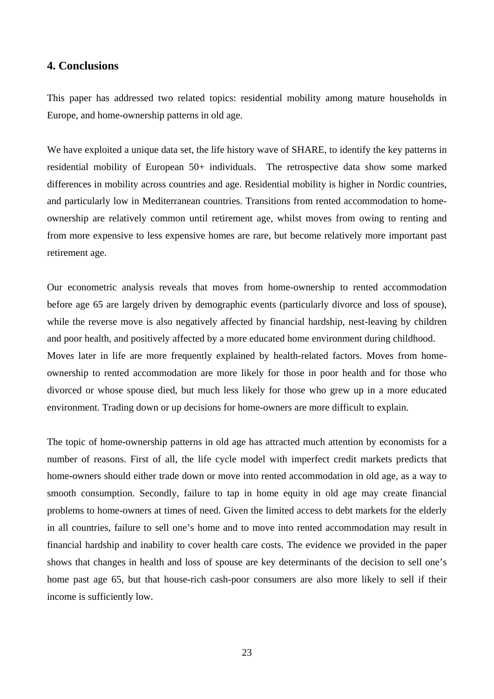### **4. Conclusions**

This paper has addressed two related topics: residential mobility among mature households in Europe, and home-ownership patterns in old age.

We have exploited a unique data set, the life history wave of SHARE, to identify the key patterns in residential mobility of European 50+ individuals. The retrospective data show some marked differences in mobility across countries and age. Residential mobility is higher in Nordic countries, and particularly low in Mediterranean countries. Transitions from rented accommodation to homeownership are relatively common until retirement age, whilst moves from owing to renting and from more expensive to less expensive homes are rare, but become relatively more important past retirement age.

Our econometric analysis reveals that moves from home-ownership to rented accommodation before age 65 are largely driven by demographic events (particularly divorce and loss of spouse), while the reverse move is also negatively affected by financial hardship, nest-leaving by children and poor health, and positively affected by a more educated home environment during childhood. Moves later in life are more frequently explained by health-related factors. Moves from homeownership to rented accommodation are more likely for those in poor health and for those who divorced or whose spouse died, but much less likely for those who grew up in a more educated environment. Trading down or up decisions for home-owners are more difficult to explain.

The topic of home-ownership patterns in old age has attracted much attention by economists for a number of reasons. First of all, the life cycle model with imperfect credit markets predicts that home-owners should either trade down or move into rented accommodation in old age, as a way to smooth consumption. Secondly, failure to tap in home equity in old age may create financial problems to home-owners at times of need. Given the limited access to debt markets for the elderly in all countries, failure to sell one's home and to move into rented accommodation may result in financial hardship and inability to cover health care costs. The evidence we provided in the paper shows that changes in health and loss of spouse are key determinants of the decision to sell one's home past age 65, but that house-rich cash-poor consumers are also more likely to sell if their income is sufficiently low.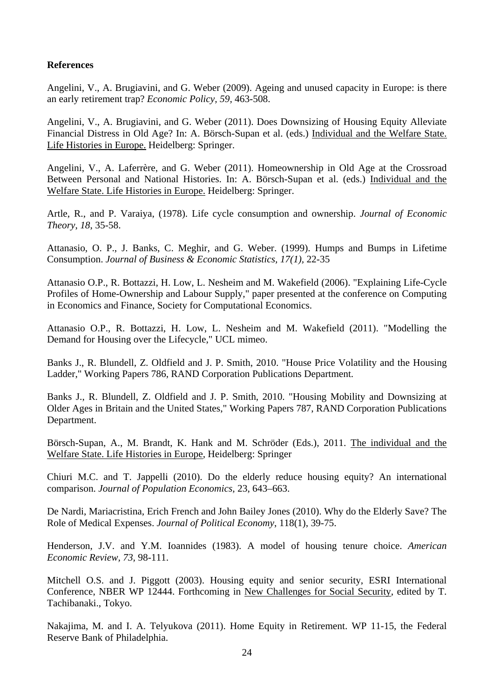#### **References**

Angelini, V., A. Brugiavini, and G. Weber (2009). Ageing and unused capacity in Europe: is there an early retirement trap? *Economic Policy, 59,* 463-508.

Angelini, V., A. Brugiavini, and G. Weber (2011). Does Downsizing of Housing Equity Alleviate Financial Distress in Old Age? In: A. Börsch-Supan et al. (eds.) Individual and the Welfare State. Life Histories in Europe. Heidelberg: Springer.

Angelini, V., A. Laferrère, and G. Weber (2011). Homeownership in Old Age at the Crossroad Between Personal and National Histories. In: A. Börsch-Supan et al. (eds.) Individual and the Welfare State. Life Histories in Europe. Heidelberg: Springer.

Artle, R., and P. Varaiya, (1978). Life cycle consumption and ownership. *Journal of Economic Theory*, *18*, 35-58.

Attanasio, O. P., J. Banks, C. Meghir, and G. Weber. (1999). Humps and Bumps in Lifetime Consumption. *Journal of Business & Economic Statistics, 17(1),* 22-35

Attanasio O.P., R. Bottazzi, H. Low, L. Nesheim and M. Wakefield (2006). "Explaining Life-Cycle Profiles of Home-Ownership and Labour Supply," paper presented at the conference on Computing in Economics and Finance, Society for Computational Economics.

Attanasio O.P., R. Bottazzi, H. Low, L. Nesheim and M. Wakefield (2011). "Modelling the Demand for Housing over the Lifecycle," UCL mimeo.

Banks J., R. Blundell, Z. Oldfield and J. P. Smith, 2010. "House Price Volatility and the Housing Ladder," Working Papers 786, RAND Corporation Publications Department.

Banks J., R. Blundell, Z. Oldfield and J. P. Smith, 2010. "Housing Mobility and Downsizing at Older Ages in Britain and the United States," Working Papers 787, RAND Corporation Publications Department.

Börsch-Supan, A., M. Brandt, K. Hank and M. Schröder (Eds.), 2011. The individual and the Welfare State. Life Histories in Europe, Heidelberg: Springer

Chiuri M.C. and T. Jappelli (2010). Do the elderly reduce housing equity? An international comparison. *Journal of Population Economics,* 23, 643–663.

De Nardi, Mariacristina, Erich French and John Bailey Jones (2010). Why do the Elderly Save? The Role of Medical Expenses. *Journal of Political Economy*, 118(1), 39-75.

Henderson, J.V. and Y.M. Ioannides (1983). A model of housing tenure choice. *American Economic Review, 73,* 98-111.

Mitchell O.S. and J. Piggott (2003). Housing equity and senior security, ESRI International Conference, NBER WP 12444. Forthcoming in New Challenges for Social Security, edited by T. Tachibanaki., Tokyo.

Nakajima, M. and I. A. Telyukova (2011). Home Equity in Retirement. WP 11-15, the Federal Reserve Bank of Philadelphia.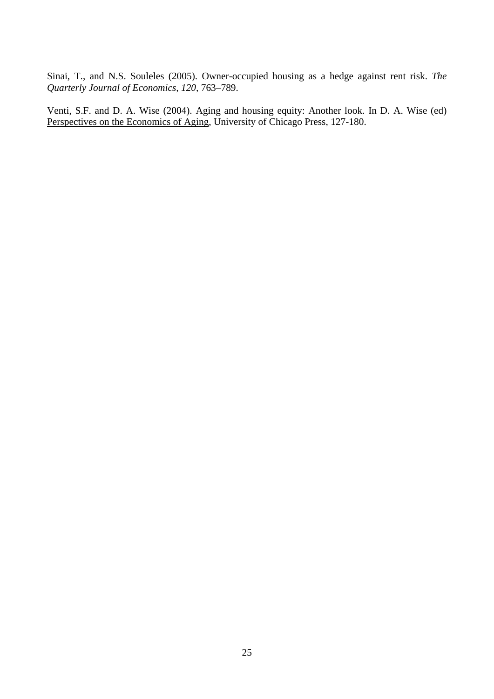Sinai, T., and N.S. Souleles (2005). Owner-occupied housing as a hedge against rent risk. *The Quarterly Journal of Economics, 120,* 763–789.

Venti, S.F. and D. A. Wise (2004). Aging and housing equity: Another look. In D. A. Wise (ed) Perspectives on the Economics of Aging, University of Chicago Press, 127-180.